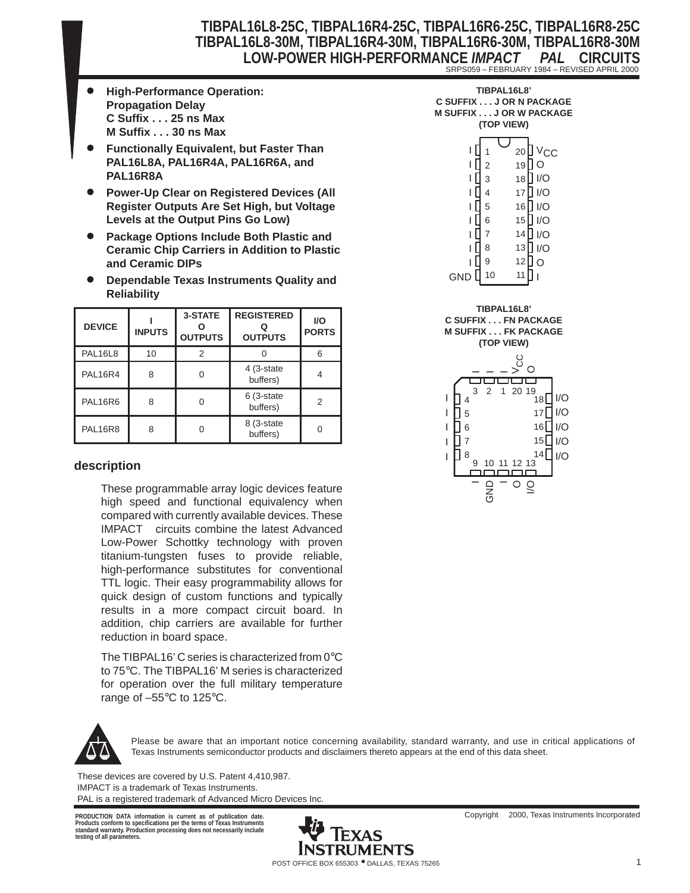### **TIBPAL16L8-25C, TIBPAL16R4-25C, TIBPAL16R6-25C, TIBPAL16R8-25C TIBPAL16L8-30M, TIBPAL16R4-30M, TIBPAL16R6-30M, TIBPAL16R8-30M LOW-POWER HIGH-PERFORMANCE** *IMPACT PAL* **CIRCUITS** SRPS059 – FEBRUARY 1984 – REVISED APRIL 2000

- $\bullet$  **High-Performance Operation: Propagation Delay C Suffix . . . 25 ns Max M Suffix . . . 30 ns Max**
- $\bullet$  **Functionally Equivalent, but Faster Than PAL16L8A, PAL16R4A, PAL16R6A, and PAL16R8A**
- $\bullet$  **Power-Up Clear on Registered Devices (All Register Outputs Are Set High, but Voltage Levels at the Output Pins Go Low)**
- $\bullet$  **Package Options Include Both Plastic and Ceramic Chip Carriers in Addition to Plastic and Ceramic DIPs**
- $\bullet$  **Dependable Texas Instruments Quality and Reliability**

| <b>DEVICE</b>  | <b>INPUTS</b> | 3-STATE<br><b>OUTPUTS</b> | <b>REGISTERED</b><br><b>OUTPUTS</b> | <b>I/O</b><br><b>PORTS</b> |
|----------------|---------------|---------------------------|-------------------------------------|----------------------------|
| <b>PAL16L8</b> | 10            | 2                         |                                     |                            |
| <b>PAL16R4</b> | 8             |                           | 4 (3-state<br>buffers)              |                            |
| <b>PAL16R6</b> | 8             |                           | 6 (3-state<br>buffers)              | 2                          |
| <b>PAL16R8</b> | ጸ             |                           | 8 (3-state<br>buffers)              |                            |

#### **description**

These programmable array logic devices feature high speed and functional equivalency when compared with currently available devices. These IMPACT<sup>™</sup> circuits combine the latest Advanced Low-Power Schottky technology with proven titanium-tungsten fuses to provide reliable, high-performance substitutes for conventional TTL logic. Their easy programmability allows for quick design of custom functions and typically results in a more compact circuit board. In addition, chip carriers are available for further reduction in board space.

The TIBPAL16' C series is characterized from 0°C to 75°C. The TIBPAL16' M series is characterized for operation over the full military temperature range of  $-55^{\circ}$ C to 125 $^{\circ}$ C.



Please be aware that an important notice concerning availability, standard warranty, and use in critical applications of Texas Instruments semiconductor products and disclaimers thereto appears at the end of this data sheet.

These devices are covered by U.S. Patent 4,410,987. IMPACT is a trademark of Texas Instruments. PAL is a registered trademark of Advanced Micro Devices Inc.

**Products conform to specifications per the terms of Texas Instruments standard warranty. Production processing does not necessarily include testing of all parameters.**



| C SUFFIX J OR N PACKAGE<br><b>M SUFFIX J OR W PACKAGE</b> | (TOP VIEW) |    |     |
|-----------------------------------------------------------|------------|----|-----|
|                                                           |            | 20 | ∨сс |
|                                                           | 2          | 19 |     |
|                                                           | 3          | 18 | 1/O |
|                                                           | 4          | 17 | 1/O |
|                                                           | 5          | 16 | 1/O |
|                                                           | 6          | 15 | 1/O |
|                                                           | 7          | 14 | 1/O |
|                                                           | 8          | 13 |     |
|                                                           | g          |    |     |

**TIBPAL16L8'**



11 I

GND  $\parallel$  10

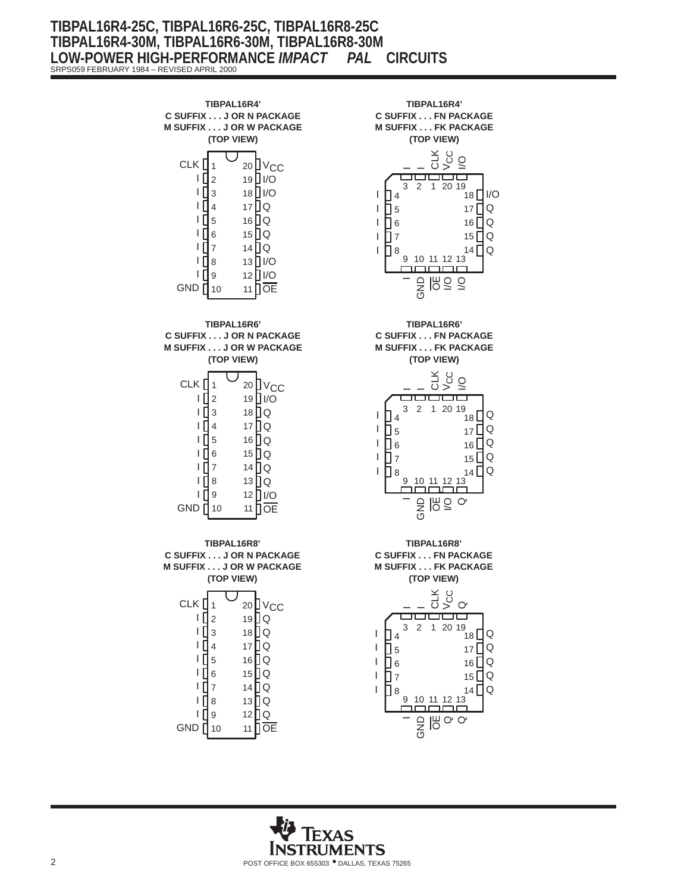### **TIBPAL16R4-25C, TIBPAL16R6-25C, TIBPAL16R8-25C TIBPAL16R4-30M, TIBPAL16R6-30M, TIBPAL16R8-30M LOW-POWER HIGH-PERFORMANCE** *IMPACT PAL* **CIRCUITS** SRPS059 FEBRUARY 1984 – REVISED APRIL 2000

1 1 ∐ 2 3 I 4 5 6 7 8 9 10 20 VCC 19∐I/O 18 **∐** I/O 17 Q 16 Q 15 Q 14 Q 13 I/O 12 **∐** I/O 11 CLK<sub>I</sub> TЦ IГ I IП IП **ID** GND <sub>I</sub> **OE TIBPAL16R4' C SUFFIX . . . J OR N PACKAGE M SUFFIX . . . J OR W PACKAGE (TOP VIEW)** CLK<sup>[</sup>  $\mathsf{I}$ I IП l ∏ 5 I IЛ I ∏ 8 । ∏ 9 GND **∏** 10 20 <u>U</u> V<sub>CC</sub> 19∐I/O 18 | Q 17 | Q 16 [] Q 15 | Q 14 **D** Q 13 ∐ Q 12 | I/O 11 **[**] OE **TIBPAL16R6' C SUFFIX . . . J OR N PACKAGE M SUFFIX . . . J OR W PACKAGE (TOP VIEW)** CLK I ∣ [ ∣ [ IП IП I I [ IП ıП GND  $\prod$ 10 20 UV CC 19 **J** Q 18 **J** Q 17 **J** Q 16 **J** Q 15 **J** Q 14 **Q** 13 **Q** 12 **Q** 11 **OE TIBPAL16R8' C SUFFIX . . . J OR N PACKAGE M SUFFIX . . . J OR W PACKAGE (TOP VIEW)** 1 2 3 4 6 7 1 2 3 4 5 6 7 8 9



**STRUMENTS** 2 POST OFFICE BOX 655303 • DALLAS, TEXAS 75265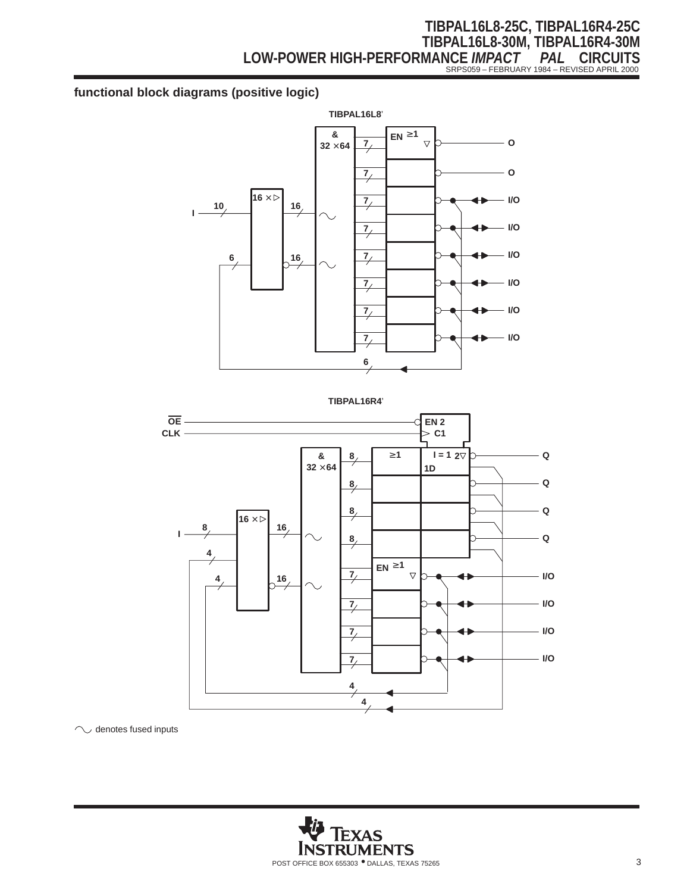# **TIBPAL16L8-25C, TIBPAL16R4-25C TIBPAL16L8-30M, TIBPAL16R4-30M LOW-POWER HIGH-PERFORMANCE** *IMPACT PAL* **CIRCUITS** SRPS059 – FEBRUARY 1984 – REVISED APRIL 2000

## **functional block diagrams (positive logic)**



**TIBPAL16R4**'



 $\sim$  denotes fused inputs

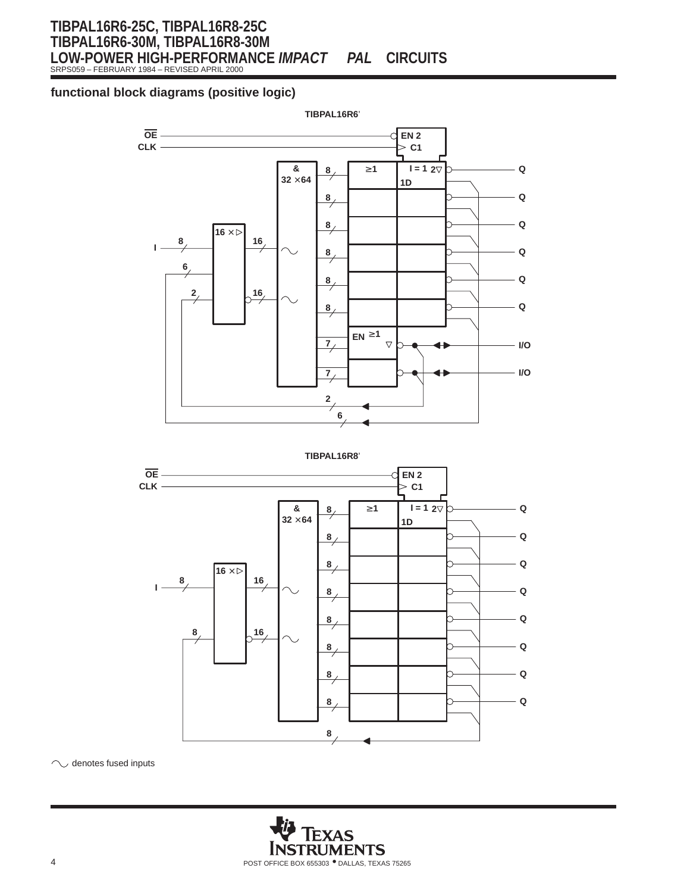SRPS059 – FEBRUARY 1984 – REVISED APRIL 2000

### **functional block diagrams (positive logic)**





 $\curvearrowright$  $\cup$  denotes fused inputs

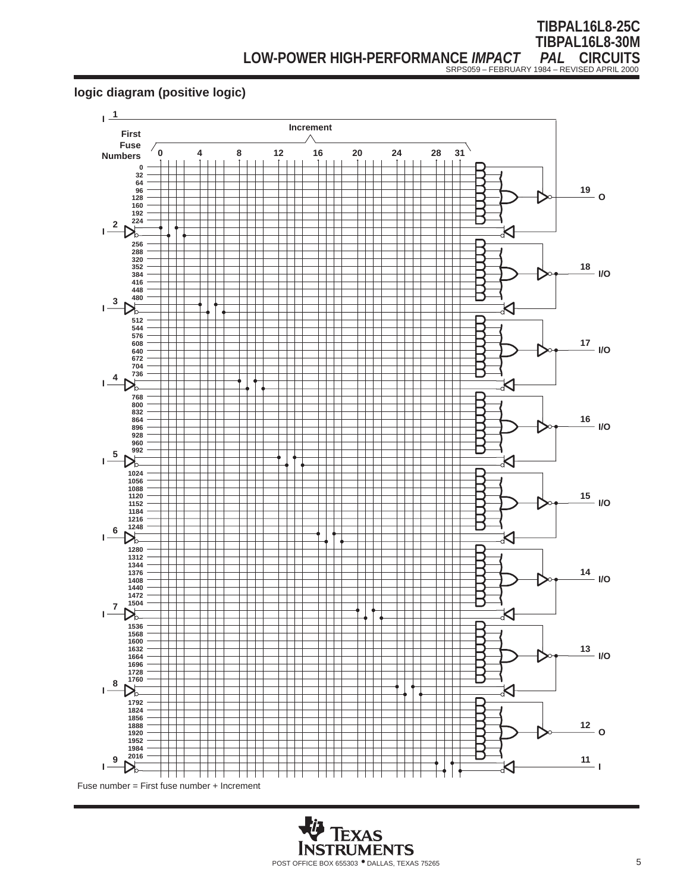## **logic diagram (positive logic)**



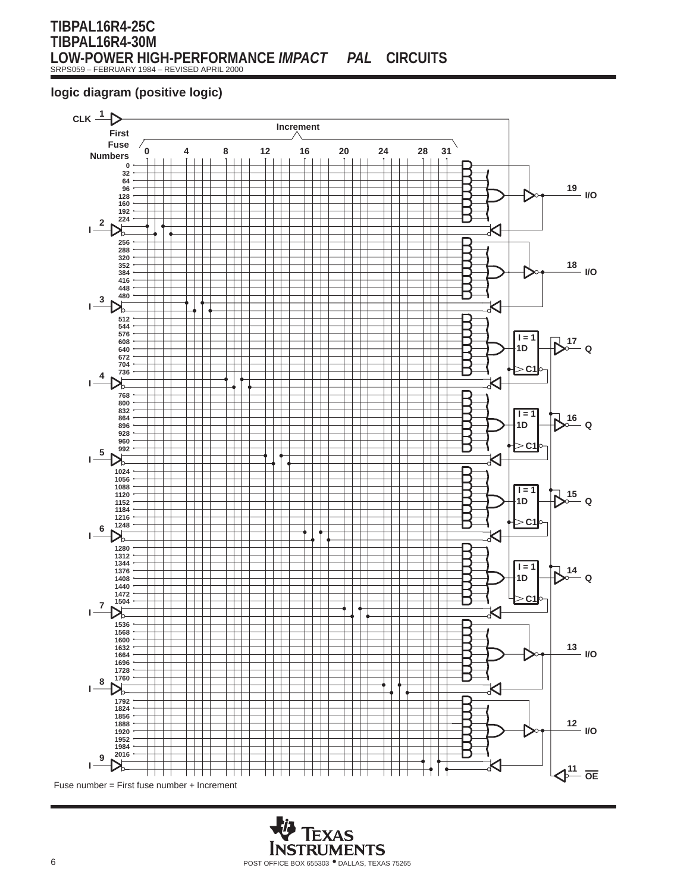### **TIBPAL16R4-25C TIBPAL16R4-30M LOW-POWER HIGH-PERFORMANCE** *IMPACT PAL* **CIRCUITS** SRPS059 – FEBRUARY 1984 – REVISED APRIL 2000

### **logic diagram (positive logic)**



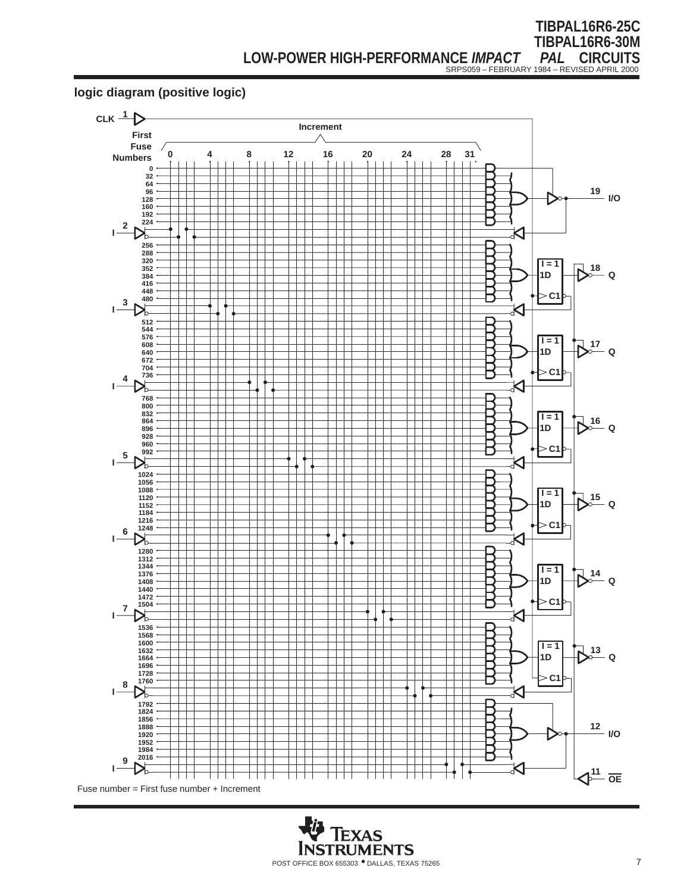### **logic diagram (positive logic)**



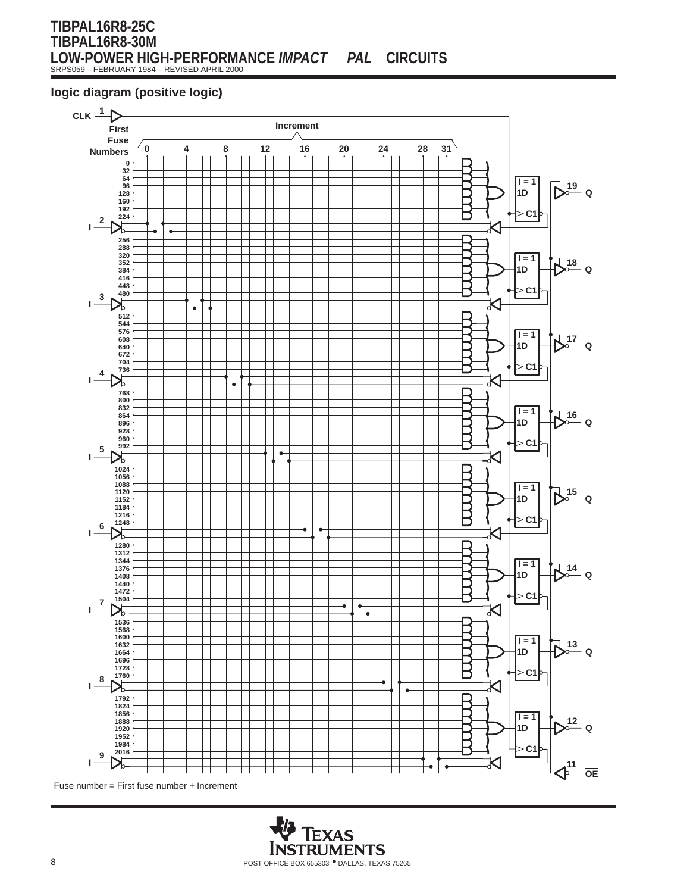### **TIBPAL16R8-25C TIBPAL16R8-30M LOW-POWER HIGH-PERFORMANCE** *IMPACT PAL* **CIRCUITS** SRPS059 – FEBRUARY 1984 – REVISED APRIL 2000

## **logic diagram (positive logic)**



Fuse number = First fuse number + Increment

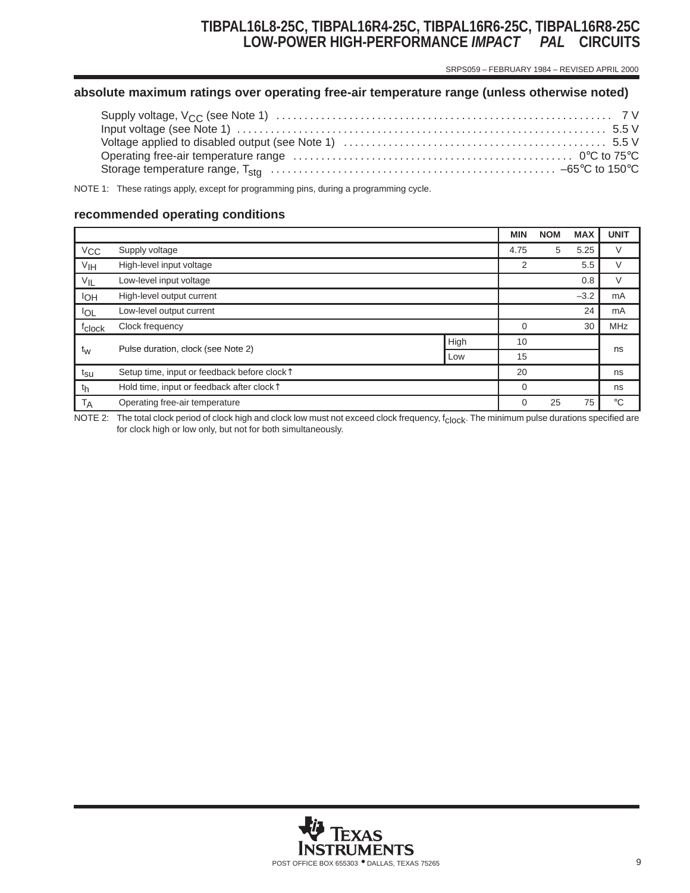SRPS059 – FEBRUARY 1984 – REVISED APRIL 2000

### **absolute maximum ratings over operating free-air temperature range (unless otherwise noted)**

NOTE 1: These ratings apply, except for programming pins, during a programming cycle.

#### **recommended operating conditions**

|                    |                                                         |      | <b>MIN</b> | <b>NOM</b> | <b>MAX</b> | <b>UNIT</b> |
|--------------------|---------------------------------------------------------|------|------------|------------|------------|-------------|
| V <sub>CC</sub>    | Supply voltage                                          |      | 4.75       | 5          | 5.25       | V           |
| VIH                | High-level input voltage                                |      | 2          |            | 5.5        | V           |
| $V_{IL}$           | Low-level input voltage                                 |      |            |            | 0.8        | V           |
| <b>IOH</b>         | High-level output current                               |      |            |            | $-3.2$     | mA          |
| <b>IOL</b>         | Low-level output current                                |      |            |            | 24         | mA          |
| f <sub>clock</sub> | Clock frequency                                         |      | 0          |            | 30         | <b>MHz</b>  |
|                    | Pulse duration, clock (see Note 2)                      | High | 10         |            |            | ns          |
| t <sub>w</sub>     |                                                         | Low  | 15         |            |            |             |
| t <sub>su</sub>    | Setup time, input or feedback before clock <sup>1</sup> |      | 20         |            |            | ns          |
| th                 | Hold time, input or feedback after clock <sup>1</sup>   |      | $\Omega$   |            |            | ns          |
| <b>TA</b>          | Operating free-air temperature                          |      | 0          | 25         | 75         | $^{\circ}C$ |

NOTE 2: The total clock period of clock high and clock low must not exceed clock frequency, f<sub>clock</sub>. The minimum pulse durations specified are for clock high or low only, but not for both simultaneously.

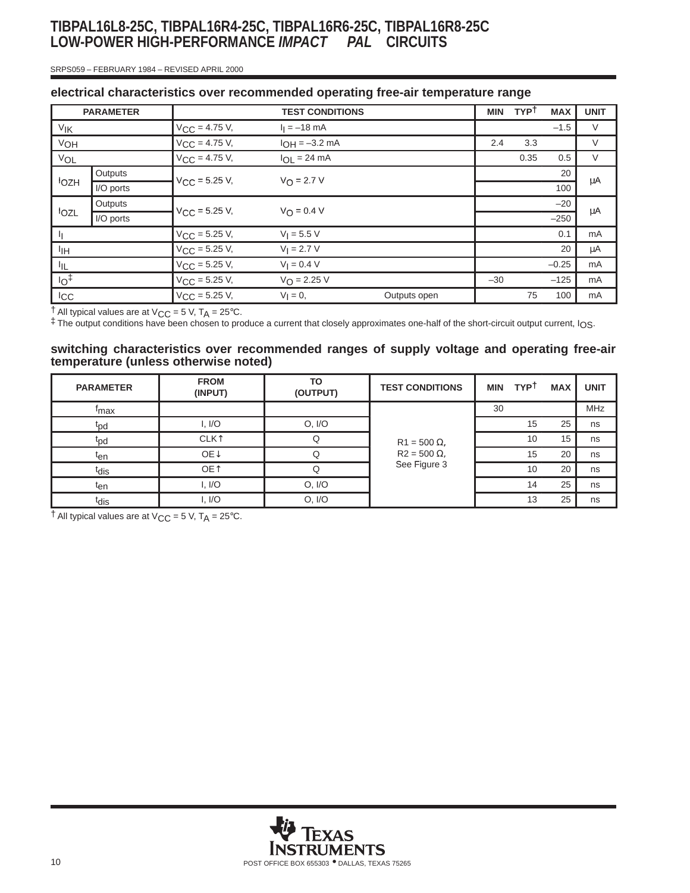#### SRPS059 – FEBRUARY 1984 – REVISED APRIL 2000

| electrical characteristics over recommended operating free-air temperature range |  |  |  |
|----------------------------------------------------------------------------------|--|--|--|
|                                                                                  |  |  |  |

|                       | <b>PARAMETER</b> |                           | <b>TEST CONDITIONS</b> |              | <b>MIN</b> | <b>TYPT</b> | <b>MAX</b> | <b>UNIT</b> |
|-----------------------|------------------|---------------------------|------------------------|--------------|------------|-------------|------------|-------------|
| <b>V<sub>IK</sub></b> |                  | $V_{\text{CC}} = 4.75$ V, | $I_1 = -18$ mA         |              |            |             | $-1.5$     | $\vee$      |
| VOH                   |                  | $V_{\text{CC}} = 4.75$ V, | $I_{OH} = -3.2$ mA     |              | 2.4        | 3.3         |            | V           |
| VOL                   |                  | $V_{CC} = 4.75 V,$        | $I_{OL}$ = 24 mA       |              |            | 0.35        | 0.5        | V           |
|                       | Outputs          |                           | $V_O = 2.7 V$          |              |            |             | 20         |             |
| <b>lozH</b>           | I/O ports        | $V_{CC} = 5.25 V,$        |                        |              |            |             | 100        | μA          |
|                       | Outputs          |                           | $V_O = 0.4 V$          |              |            |             | $-20$      |             |
| lozL                  | I/O ports        | $V_{\text{CC}} = 5.25$ V, |                        |              |            | $-250$      | μA         |             |
|                       |                  | $V_{\text{CC}}$ = 5.25 V, | $V_1 = 5.5 V$          |              |            |             | 0.1        | mA          |
| ŀıн                   |                  | $V_{\text{CC}} = 5.25$ V, | $V_1 = 2.7 V$          |              |            |             | 20         | μA          |
| IIL.                  |                  | $V_{\text{CC}} = 5.25$ V, | $V_1 = 0.4 V$          |              |            |             | $-0.25$    | mA          |
| 1 <sub>O</sub>        |                  | $V_{\text{CC}} = 5.25$ V, | $V_{\Omega} = 2.25 V$  |              | $-30$      |             | $-125$     | mA          |
| ICC                   |                  | $V_{CC}$ = 5.25 V,        | $V_1 = 0$ ,            | Outputs open |            | 75          | 100        | mA          |

 $\dagger$  All typical values are at V<sub>CC</sub> = 5 V, T<sub>A</sub> = 25°C.

‡ The output conditions have been chosen to produce a current that closely approximates one-half of the short-circuit output current, IOS.

**switching characteristics over recommended ranges of supply voltage and operating free-air temperature (unless otherwise noted)**

| <b>PARAMETER</b> | <b>FROM</b><br>(INPUT)  | TO<br>(OUTPUT) | <b>TEST CONDITIONS</b> | <b>MIN</b> | <b>TYPT</b> | <b>MAX</b> | <b>UNIT</b> |
|------------------|-------------------------|----------------|------------------------|------------|-------------|------------|-------------|
| <sup>t</sup> max |                         |                |                        | 30         |             |            | <b>MHz</b>  |
| t <sub>pd</sub>  | I, I/O                  | O, I/O         |                        |            | 15          | 25         | ns          |
| t <sub>pd</sub>  | <b>CLK</b> <sup>1</sup> |                | $R1 = 500 \Omega$ ,    |            | 10          | 15         | ns          |
| ten              | OE <sub>1</sub>         |                | $R2 = 500 \Omega$ ,    |            | 15          | 20         | ns          |
| t <sub>dis</sub> | OE <sup>1</sup>         |                | See Figure 3           |            | 10          | 20         | ns          |
| t <sub>en</sub>  | I, I/O                  | O, I/O         |                        |            | 14          | 25         | ns          |
| t <sub>dis</sub> | I, I/O                  | O, I/O         |                        |            | 13          | 25         | ns          |

 $\dagger$  All typical values are at V<sub>CC</sub> = 5 V, T<sub>A</sub> = 25°C.

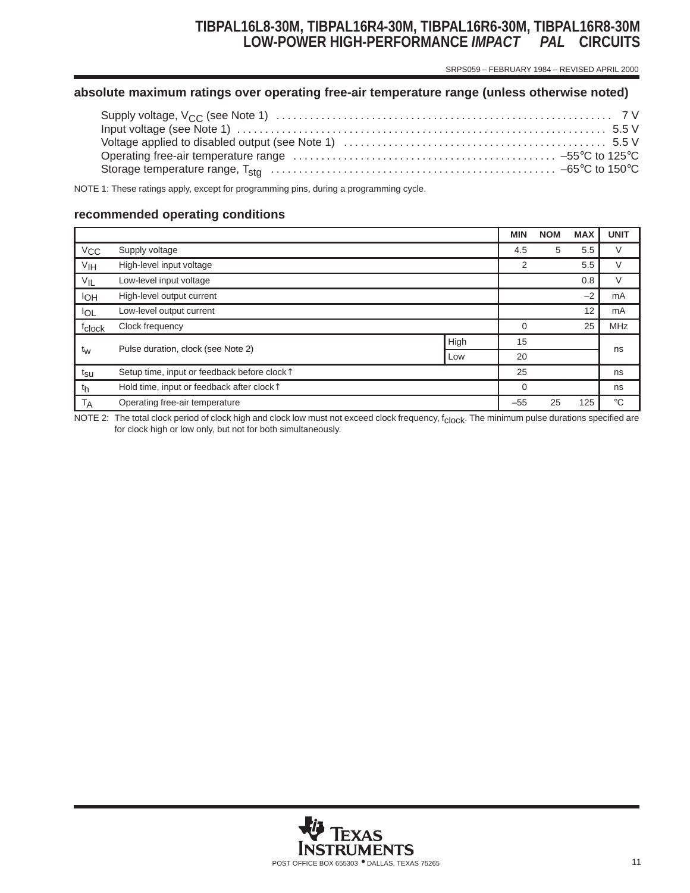## **TIBPAL16L8-30M, TIBPAL16R4-30M, TIBPAL16R6-30M, TIBPAL16R8-30M LOW-POWER HIGH-PERFORMANCE** *IMPACT PAL* **CIRCUITS**

SRPS059 – FEBRUARY 1984 – REVISED APRIL 2000

#### **absolute maximum ratings over operating free-air temperature range (unless otherwise noted)**

NOTE 1: These ratings apply, except for programming pins, during a programming cycle.

#### **recommended operating conditions**

|                    |                                                         |      | <b>MIN</b> | <b>NOM</b> | <b>MAX</b> | <b>UNIT</b>  |
|--------------------|---------------------------------------------------------|------|------------|------------|------------|--------------|
| V <sub>CC</sub>    | Supply voltage                                          |      | 4.5        | 5          | 5.5        | V            |
| V <sub>IH</sub>    | High-level input voltage                                |      | 2          |            | 5.5        | V            |
| $V_{IL}$           | Low-level input voltage                                 |      |            |            | 0.8        | V            |
| <b>IOH</b>         | High-level output current                               |      |            |            | $-2$       | mA           |
| <b>IOL</b>         | Low-level output current                                |      |            |            | 12         | mA           |
| f <sub>clock</sub> | Clock frequency                                         |      | 0          |            | 25         | <b>MHz</b>   |
|                    | Pulse duration, clock (see Note 2)                      | High | 15         |            |            |              |
| t <sub>w</sub>     |                                                         | Low  | 20         |            |            | ns           |
| t <sub>su</sub>    | Setup time, input or feedback before clock <sup>1</sup> |      | 25         |            |            | ns           |
| th                 | Hold time, input or feedback after clock <sup>1</sup>   |      | $\Omega$   |            |            | ns           |
| <b>TA</b>          | Operating free-air temperature                          |      | $-55$      | 25         | 125        | $^{\circ}$ C |

NOTE 2: The total clock period of clock high and clock low must not exceed clock frequency, f<sub>clock</sub>. The minimum pulse durations specified are for clock high or low only, but not for both simultaneously.

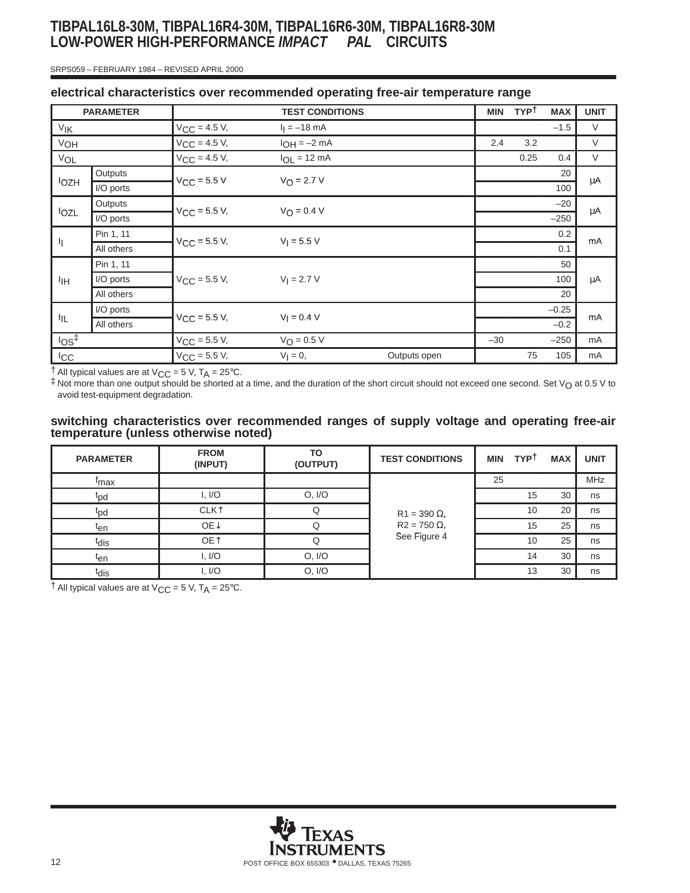# **TIBPAL16L8-30M, TIBPAL16R4-30M, TIBPAL16R6-30M, TIBPAL16R8-30M LOW-POWER HIGH-PERFORMANCE** *IMPACT PAL* **CIRCUITS**

#### SRPS059 – FEBRUARY 1984 – REVISED APRIL 2000

|                                         | <b>PARAMETER</b> |                          | <b>TEST CONDITIONS</b> |               | <b>MIN</b> | <b>TYPT</b> | <b>MAX</b> | <b>UNIT</b> |
|-----------------------------------------|------------------|--------------------------|------------------------|---------------|------------|-------------|------------|-------------|
| VIK                                     |                  | $V_{\text{CC}} = 4.5 V,$ | $I_1 = -18$ mA         |               |            |             | $-1.5$     | $\vee$      |
| VOH                                     |                  | $V_{CC} = 4.5 V,$        | $I_{OH} = -2 mA$       |               | 2.4        | 3.2         |            | $\vee$      |
| VOL                                     |                  | $V_{CC} = 4.5 V,$        | $I_{OL}$ = 12 mA       |               |            | 0.25        | 0.4        | V           |
|                                         | Outputs          |                          | $V_O = 2.7 V$          |               |            |             | 20         |             |
| <b>IOZH</b>                             | I/O ports        | $V_{\text{CC}}$ = 5.5 V  |                        |               |            |             | 100        | μA          |
|                                         | Outputs          |                          |                        |               |            |             | $-20$      |             |
| lozL                                    | I/O ports        | $V_{CC}$ = 5.5 V,        |                        | $V_O = 0.4 V$ |            |             | $-250$     | μA          |
|                                         | Pin 1, 11        |                          | $V_1 = 5.5 V$          |               |            |             | 0.2        | mA          |
| h                                       | All others       | $V_{\text{CC}}$ = 5.5 V, |                        |               |            |             | 0.1        |             |
|                                         | Pin 1, 11        |                          |                        |               |            |             | 50         |             |
| IІН                                     | I/O ports        | $V_{CC} = 5.5 V,$        | $V_1 = 2.7 V$          |               |            |             | 100        | μA          |
|                                         | All others       |                          |                        |               |            |             | 20         |             |
|                                         | I/O ports        |                          |                        |               |            | $-0.25$     |            |             |
| İΙL                                     | All others       | $V_{\text{CC}} = 5.5 V,$ | $V_1 = 0.4 V$          |               |            |             | $-0.2$     | mA          |
| $\log$ <sup><math>\ddagger</math></sup> |                  | $V_{CC} = 5.5 V,$        | $V_O = 0.5 V$          |               | $-30$      |             | $-250$     | mA          |
| <b>ICC</b>                              |                  | $V_{CC} = 5.5 V,$        | $V_{\parallel} = 0$ ,  | Outputs open  |            | 75          | 105        | mA          |

### **electrical characteristics over recommended operating free-air temperature range**

 $\dagger$  All typical values are at V<sub>CC</sub> = 5 V, T<sub>A</sub> = 25°C.

 $\ddagger$  Not more than one output should be shorted at a time, and the duration of the short circuit should not exceed one second. Set  $V_O$  at 0.5 V to avoid test-equipment degradation.

#### **switching characteristics over recommended ranges of supply voltage and operating free-air temperature (unless otherwise noted)**

| <b>PARAMETER</b> | <b>FROM</b><br>(INPUT)  | TO<br>(OUTPUT) | <b>TEST CONDITIONS</b> | <b>MIN</b> | <b>TYPT</b> | <b>MAX</b> | <b>UNIT</b> |
|------------------|-------------------------|----------------|------------------------|------------|-------------|------------|-------------|
| <sup>T</sup> max |                         |                |                        | 25         |             |            | <b>MHz</b>  |
| t <sub>pd</sub>  | I, I/O                  | O, I/O         |                        |            | 15          | 30         | ns          |
| t <sub>pd</sub>  | <b>CLK</b> <sup>1</sup> |                | $R1 = 390 \Omega$ ,    |            | 10          | 20         | ns          |
| t <sub>en</sub>  | OE↓                     |                | $R2 = 750 \Omega$ ,    |            | 15          | 25         | ns          |
| tdis             | OE <sup>1</sup>         |                | See Figure 4           |            | 10          | 25         | ns          |
| ten              | I, I/O                  | O, I/O         |                        |            | 14          | 30         | ns          |
| t <sub>dis</sub> | I, I/O                  | O, I/O         |                        |            | 13          | 30         | ns          |

 $\dagger$  All typical values are at V<sub>CC</sub> = 5 V, T<sub>A</sub> = 25°C.

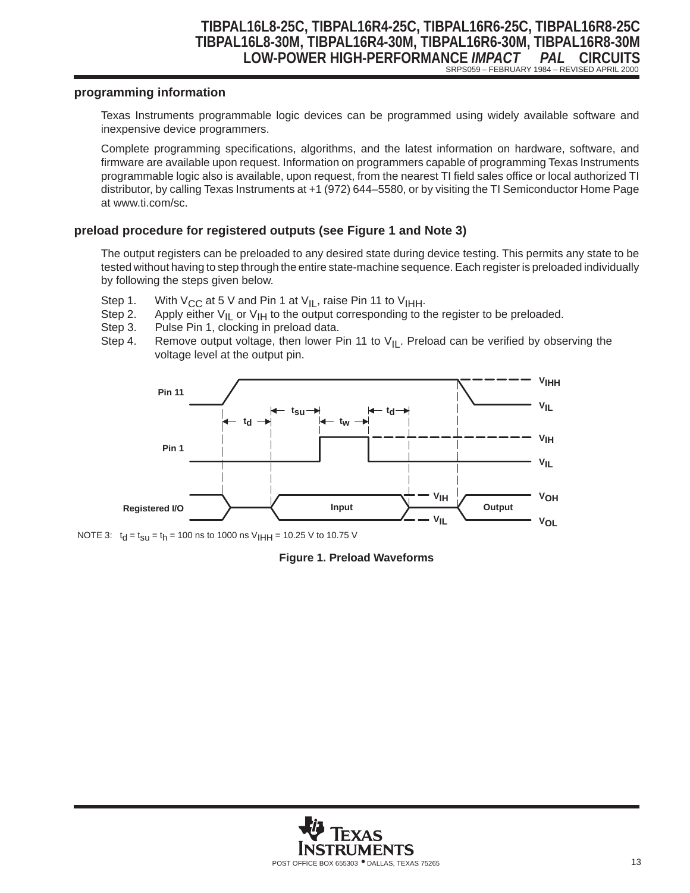### **TIBPAL16L8-25C, TIBPAL16R4-25C, TIBPAL16R6-25C, TIBPAL16R8-25C TIBPAL16L8-30M, TIBPAL16R4-30M, TIBPAL16R6-30M, TIBPAL16R8-30M LOW-POWER HIGH-PERFORMANCE** *IMPACT PAL* **CIRCUITS** SRPS059 – FEBRUARY 1984 – REVISED APRIL 2000

#### **programming information**

Texas Instruments programmable logic devices can be programmed using widely available software and inexpensive device programmers.

Complete programming specifications, algorithms, and the latest information on hardware, software, and firmware are available upon request. Information on programmers capable of programming Texas Instruments programmable logic also is available, upon request, from the nearest TI field sales office or local authorized TI distributor, by calling Texas Instruments at +1 (972) 644–5580, or by visiting the TI Semiconductor Home Page at www.ti.com/sc.

#### **preload procedure for registered outputs (see Figure 1 and Note 3)**

The output registers can be preloaded to any desired state during device testing. This permits any state to be tested without having to step through the entire state-machine sequence. Each register is preloaded individually by following the steps given below.

- 
- Step 1. With V<sub>CC</sub> at 5 V and Pin 1 at V<sub>IL</sub>, raise Pin 11 to V<sub>IHH</sub>.<br>Step 2. Apply either V<sub>II</sub> or V<sub>IH</sub> to the output corresponding to t Step 2. Apply either  $V_{II}$  or  $V_{IH}$  to the output corresponding to the register to be preloaded.<br>Step 3. Pulse Pin 1, clocking in preload data.
- Pulse Pin 1, clocking in preload data.
- Step 4. Remove output voltage, then lower Pin 11 to  $V_{\parallel}$ . Preload can be verified by observing the voltage level at the output pin.



NOTE 3:  $t_d = t_{su} = t_h = 100$  ns to 1000 ns V<sub>IHH</sub> = 10.25 V to 10.75 V

**Figure 1. Preload Waveforms**

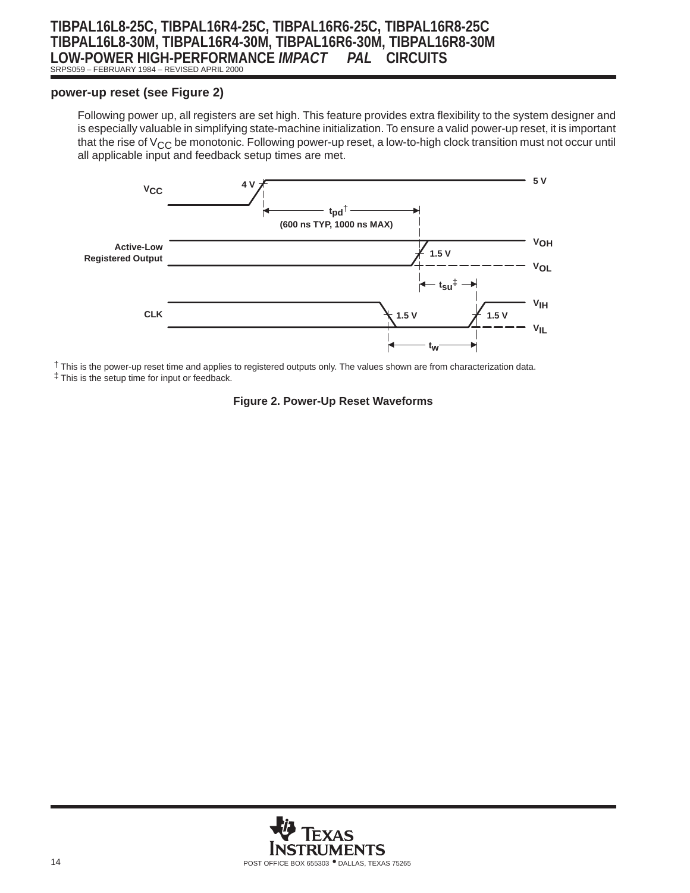### **TIBPAL16L8-25C, TIBPAL16R4-25C, TIBPAL16R6-25C, TIBPAL16R8-25C TIBPAL16L8-30M, TIBPAL16R4-30M, TIBPAL16R6-30M, TIBPAL16R8-30M LOW-POWER HIGH-PERFORMANCE** *IMPACT PAL* **CIRCUITS** SRPS059 – FEBRUARY 1984 – REVISED APRIL 2000

## **power-up reset (see Figure 2)**

Following power up, all registers are set high. This feature provides extra flexibility to the system designer and is especially valuable in simplifying state-machine initialization. To ensure a valid power-up reset, it is important that the rise of  $V_{CC}$  be monotonic. Following power-up reset, a low-to-high clock transition must not occur until all applicable input and feedback setup times are met.



† This is the power-up reset time and applies to registered outputs only. The values shown are from characterization data. ‡ This is the setup time for input or feedback.

#### **Figure 2. Power-Up Reset Waveforms**

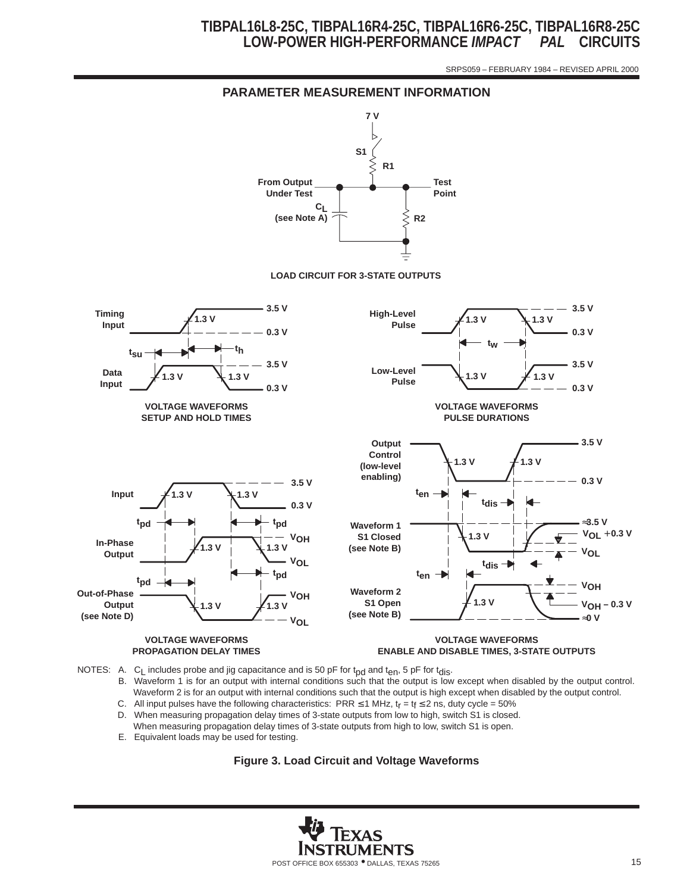SRPS059 – FEBRUARY 1984 – REVISED APRIL 2000



- B. Waveform 1 is for an output with internal conditions such that the output is low except when disabled by the output control. Waveform 2 is for an output with internal conditions such that the output is high except when disabled by the output control.
- C. All input pulses have the following characteristics: PRR ≤ 1 MHz, t<sub>r</sub> = t<sub>f</sub> ≤ 2 ns, duty cycle = 50% D. When measuring propagation delay times of 3-state outputs from low to high, switch S1 is closed
- When measuring propagation delay times of 3-state outputs from low to high, switch S1 is closed. When measuring propagation delay times of 3-state outputs from high to low, switch S1 is open.
- E. Equivalent loads may be used for testing.

**Figure 3. Load Circuit and Voltage Waveforms**

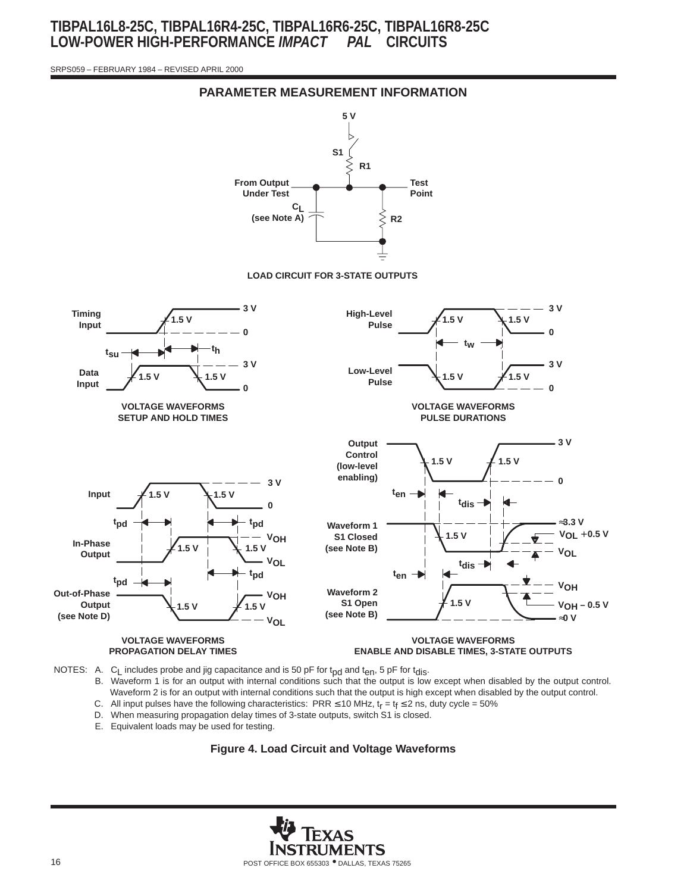SRPS059 – FEBRUARY 1984 – REVISED APRIL 2000



**PARAMETER MEASUREMENT INFORMATION**

NOTES: A. C<sub>L</sub> includes probe and jig capacitance and is 50 pF for t<sub>pd</sub> and t<sub>en</sub>, 5 pF for t<sub>dis</sub>.

- B. Waveform 1 is for an output with internal conditions such that the output is low except when disabled by the output control. Waveform 2 is for an output with internal conditions such that the output is high except when disabled by the output control. C. All input pulses have the following characteristics: PRR  $\leq$  10 MHz,  $t_r = t_f \leq 2$  ns, duty cycle = 50%
- D. When measuring propagation delay times of 3-state outputs, switch S1 is closed.
- 
- E. Equivalent loads may be used for testing.



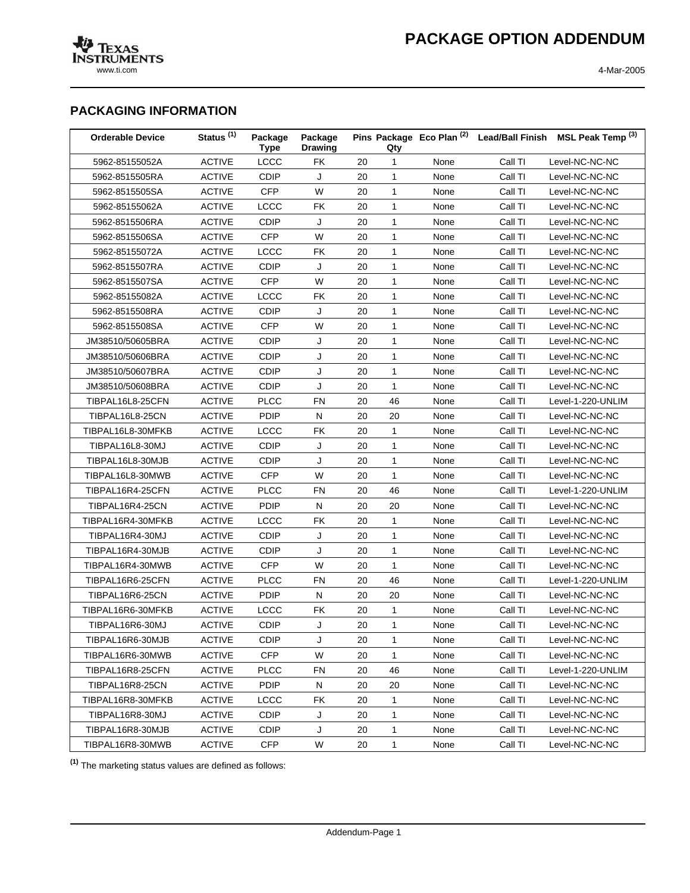www.ti.com 4-Mar-2005

## **PACKAGING INFORMATION**

| <b>Orderable Device</b> | Status <sup>(1)</sup> | Package<br><b>Type</b> | Package<br><b>Drawing</b> |    | Qty          |      |         | Pins Package Eco Plan <sup>(2)</sup> Lead/Ball Finish MSL Peak Temp <sup>(3)</sup> |
|-------------------------|-----------------------|------------------------|---------------------------|----|--------------|------|---------|------------------------------------------------------------------------------------|
| 5962-85155052A          | <b>ACTIVE</b>         | LCCC                   | <b>FK</b>                 | 20 | $\mathbf{1}$ | None | Call TI | Level-NC-NC-NC                                                                     |
| 5962-8515505RA          | <b>ACTIVE</b>         | CDIP                   | J                         | 20 | $\mathbf{1}$ | None | Call TI | Level-NC-NC-NC                                                                     |
| 5962-8515505SA          | <b>ACTIVE</b>         | <b>CFP</b>             | W                         | 20 | $\mathbf{1}$ | None | Call TI | Level-NC-NC-NC                                                                     |
| 5962-85155062A          | <b>ACTIVE</b>         | LCCC                   | FK                        | 20 | $\mathbf{1}$ | None | Call TI | Level-NC-NC-NC                                                                     |
| 5962-8515506RA          | <b>ACTIVE</b>         | <b>CDIP</b>            | J                         | 20 | $\mathbf{1}$ | None | Call TI | Level-NC-NC-NC                                                                     |
| 5962-8515506SA          | <b>ACTIVE</b>         | <b>CFP</b>             | W                         | 20 | $\mathbf{1}$ | None | Call TI | Level-NC-NC-NC                                                                     |
| 5962-85155072A          | <b>ACTIVE</b>         | LCCC                   | FK                        | 20 | $\mathbf{1}$ | None | Call TI | Level-NC-NC-NC                                                                     |
| 5962-8515507RA          | <b>ACTIVE</b>         | <b>CDIP</b>            | J                         | 20 | $\mathbf{1}$ | None | Call TI | Level-NC-NC-NC                                                                     |
| 5962-8515507SA          | <b>ACTIVE</b>         | <b>CFP</b>             | W                         | 20 | $\mathbf{1}$ | None | Call TI | Level-NC-NC-NC                                                                     |
| 5962-85155082A          | <b>ACTIVE</b>         | LCCC                   | FK                        | 20 | $\mathbf{1}$ | None | Call TI | Level-NC-NC-NC                                                                     |
| 5962-8515508RA          | <b>ACTIVE</b>         | <b>CDIP</b>            | J                         | 20 | $\mathbf{1}$ | None | Call TI | Level-NC-NC-NC                                                                     |
| 5962-8515508SA          | <b>ACTIVE</b>         | <b>CFP</b>             | W                         | 20 | $\mathbf{1}$ | None | Call TI | Level-NC-NC-NC                                                                     |
| JM38510/50605BRA        | <b>ACTIVE</b>         | <b>CDIP</b>            | J                         | 20 | $\mathbf{1}$ | None | Call TI | Level-NC-NC-NC                                                                     |
| JM38510/50606BRA        | <b>ACTIVE</b>         | CDIP                   | J                         | 20 | $\mathbf{1}$ | None | Call TI | Level-NC-NC-NC                                                                     |
| JM38510/50607BRA        | <b>ACTIVE</b>         | <b>CDIP</b>            | J                         | 20 | $\mathbf{1}$ | None | Call TI | Level-NC-NC-NC                                                                     |
| JM38510/50608BRA        | <b>ACTIVE</b>         | CDIP                   | J                         | 20 | $\mathbf{1}$ | None | Call TI | Level-NC-NC-NC                                                                     |
| TIBPAL16L8-25CFN        | <b>ACTIVE</b>         | <b>PLCC</b>            | FN                        | 20 | 46           | None | Call TI | Level-1-220-UNLIM                                                                  |
| TIBPAL16L8-25CN         | <b>ACTIVE</b>         | <b>PDIP</b>            | N                         | 20 | 20           | None | Call TI | Level-NC-NC-NC                                                                     |
| TIBPAL16L8-30MFKB       | <b>ACTIVE</b>         | LCCC                   | FK                        | 20 | $\mathbf{1}$ | None | Call TI | Level-NC-NC-NC                                                                     |
| TIBPAL16L8-30MJ         | <b>ACTIVE</b>         | <b>CDIP</b>            | J                         | 20 | $\mathbf{1}$ | None | Call TI | Level-NC-NC-NC                                                                     |
| TIBPAL16L8-30MJB        | <b>ACTIVE</b>         | CDIP                   | J                         | 20 | $\mathbf{1}$ | None | Call TI | Level-NC-NC-NC                                                                     |
| TIBPAL16L8-30MWB        | <b>ACTIVE</b>         | CFP                    | W                         | 20 | $\mathbf{1}$ | None | Call TI | Level-NC-NC-NC                                                                     |
| TIBPAL16R4-25CFN        | <b>ACTIVE</b>         | <b>PLCC</b>            | FN                        | 20 | 46           | None | Call TI | Level-1-220-UNLIM                                                                  |
| TIBPAL16R4-25CN         | <b>ACTIVE</b>         | <b>PDIP</b>            | N                         | 20 | 20           | None | Call TI | Level-NC-NC-NC                                                                     |
| TIBPAL16R4-30MFKB       | <b>ACTIVE</b>         | LCCC                   | <b>FK</b>                 | 20 | $\mathbf{1}$ | None | Call TI | Level-NC-NC-NC                                                                     |
| TIBPAL16R4-30MJ         | <b>ACTIVE</b>         | <b>CDIP</b>            | J                         | 20 | $\mathbf{1}$ | None | Call TI | Level-NC-NC-NC                                                                     |
| TIBPAL16R4-30MJB        | <b>ACTIVE</b>         | <b>CDIP</b>            | J                         | 20 | $\mathbf{1}$ | None | Call TI | Level-NC-NC-NC                                                                     |
| TIBPAL16R4-30MWB        | <b>ACTIVE</b>         | <b>CFP</b>             | W                         | 20 | $\mathbf{1}$ | None | Call TI | Level-NC-NC-NC                                                                     |
| TIBPAL16R6-25CFN        | <b>ACTIVE</b>         | <b>PLCC</b>            | FN                        | 20 | 46           | None | Call TI | Level-1-220-UNLIM                                                                  |
| TIBPAL16R6-25CN         | <b>ACTIVE</b>         | <b>PDIP</b>            | N                         | 20 | 20           | None | Call TI | Level-NC-NC-NC                                                                     |
| TIBPAL16R6-30MFKB       | <b>ACTIVE</b>         | LCCC                   | FK                        | 20 | $\mathbf{1}$ | None | Call TI | Level-NC-NC-NC                                                                     |
| TIBPAL16R6-30MJ         | <b>ACTIVE</b>         | <b>CDIP</b>            | J                         | 20 | $\mathbf{1}$ | None | Call TI | Level-NC-NC-NC                                                                     |
| TIBPAL16R6-30MJB        | <b>ACTIVE</b>         | CDIP                   | J                         | 20 | $\mathbf{1}$ | None | Call TI | Level-NC-NC-NC                                                                     |
| TIBPAL16R6-30MWB        | <b>ACTIVE</b>         | <b>CFP</b>             | W                         | 20 | $\mathbf{1}$ | None | Call TI | Level-NC-NC-NC                                                                     |
| TIBPAL16R8-25CFN        | <b>ACTIVE</b>         | <b>PLCC</b>            | <b>FN</b>                 | 20 | 46           | None | Call TI | Level-1-220-UNLIM                                                                  |
| TIBPAL16R8-25CN         | <b>ACTIVE</b>         | <b>PDIP</b>            | N                         | 20 | 20           | None | Call TI | Level-NC-NC-NC                                                                     |
| TIBPAL16R8-30MFKB       | <b>ACTIVE</b>         | <b>LCCC</b>            | FK                        | 20 | $\mathbf{1}$ | None | Call TI | Level-NC-NC-NC                                                                     |
| TIBPAL16R8-30MJ         | <b>ACTIVE</b>         | <b>CDIP</b>            | J                         | 20 | $\mathbf{1}$ | None | Call TI | Level-NC-NC-NC                                                                     |
| TIBPAL16R8-30MJB        | <b>ACTIVE</b>         | <b>CDIP</b>            | J                         | 20 | $\mathbf{1}$ | None | Call TI | Level-NC-NC-NC                                                                     |
| TIBPAL16R8-30MWB        | <b>ACTIVE</b>         | <b>CFP</b>             | W                         | 20 | $\mathbf{1}$ | None | Call TI | Level-NC-NC-NC                                                                     |

**(1)** The marketing status values are defined as follows: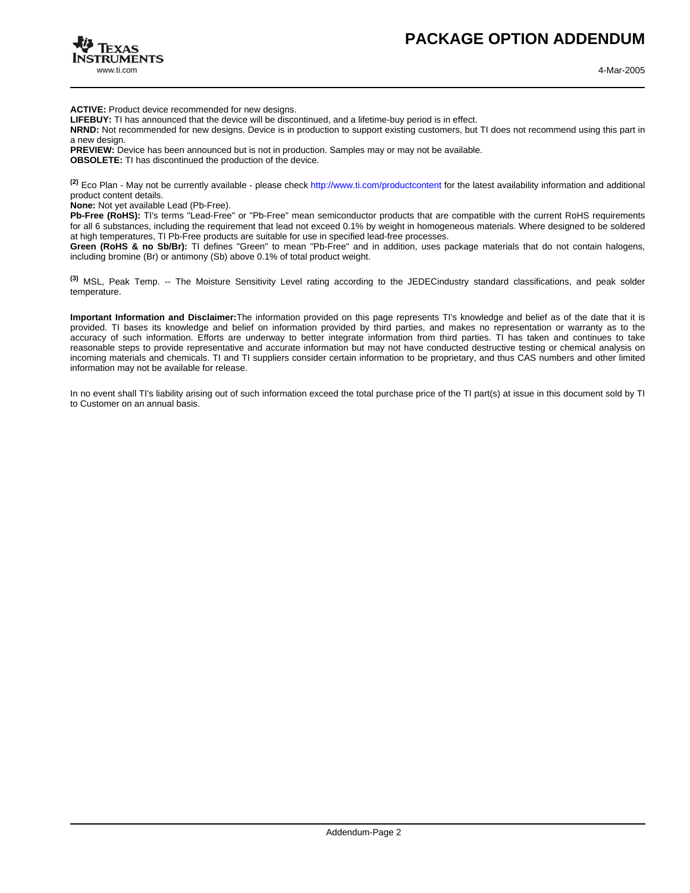

**ACTIVE:** Product device recommended for new designs.

**LIFEBUY:** TI has announced that the device will be discontinued, and a lifetime-buy period is in effect.

**NRND:** Not recommended for new designs. Device is in production to support existing customers, but TI does not recommend using this part in a new design.

**PREVIEW:** Device has been announced but is not in production. Samples may or may not be available. **OBSOLETE:** TI has discontinued the production of the device.

**(2)** Eco Plan - May not be currently available - please check <http://www.ti.com/productcontent> for the latest availability information and additional product content details.

**None:** Not yet available Lead (Pb-Free).

Pb-Free (RoHS): TI's terms "Lead-Free" or "Pb-Free" mean semiconductor products that are compatible with the current RoHS requirements for all 6 substances, including the requirement that lead not exceed 0.1% by weight in homogeneous materials. Where designed to be soldered at high temperatures, TI Pb-Free products are suitable for use in specified lead-free processes.

**Green (RoHS & no Sb/Br):** TI defines "Green" to mean "Pb-Free" and in addition, uses package materials that do not contain halogens, including bromine (Br) or antimony (Sb) above 0.1% of total product weight.

**(3)** MSL, Peak Temp. -- The Moisture Sensitivity Level rating according to the JEDECindustry standard classifications, and peak solder temperature.

**Important Information and Disclaimer:**The information provided on this page represents TI's knowledge and belief as of the date that it is provided. TI bases its knowledge and belief on information provided by third parties, and makes no representation or warranty as to the accuracy of such information. Efforts are underway to better integrate information from third parties. TI has taken and continues to take reasonable steps to provide representative and accurate information but may not have conducted destructive testing or chemical analysis on incoming materials and chemicals. TI and TI suppliers consider certain information to be proprietary, and thus CAS numbers and other limited information may not be available for release.

In no event shall TI's liability arising out of such information exceed the total purchase price of the TI part(s) at issue in this document sold by TI to Customer on an annual basis.